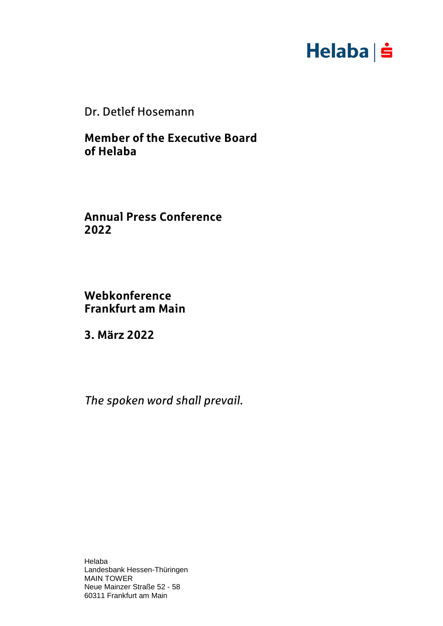

Dr. Detlef Hosemann

**Member of the Executive Board of Helaba**

**Annual Press Conference 2022**

**Webkonference Frankfurt am Main**

**3. März 2022**

*The spoken word shall prevail.*

Helaba Landesbank Hessen-Thüringen MAIN TOWER Neue Mainzer Straße 52 - 58 60311 Frankfurt am Main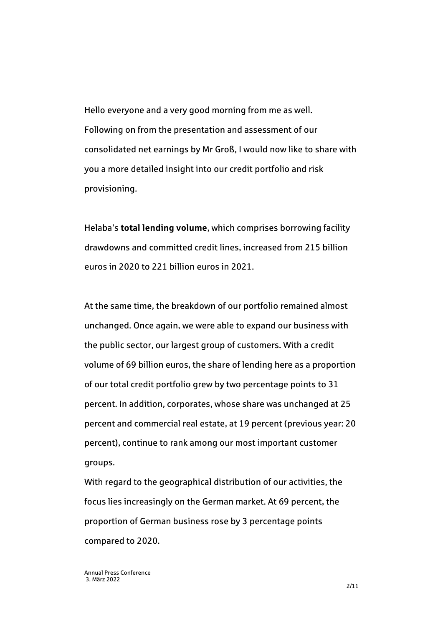Hello everyone and a very good morning from me as well. Following on from the presentation and assessment of our consolidated net earnings by Mr Groß, I would now like to share with you a more detailed insight into our credit portfolio and risk provisioning.

Helaba's **total lending volume**, which comprises borrowing facility drawdowns and committed credit lines, increased from 215 billion euros in 2020 to 221 billion euros in 2021.

At the same time, the breakdown of our portfolio remained almost unchanged. Once again, we were able to expand our business with the public sector, our largest group of customers. With a credit volume of 69 billion euros, the share of lending here as a proportion of our total credit portfolio grew by two percentage points to 31 percent. In addition, corporates, whose share was unchanged at 25 percent and commercial real estate, at 19 percent (previous year: 20 percent), continue to rank among our most important customer groups.

With regard to the geographical distribution of our activities, the focus lies increasingly on the German market. At 69 percent, the proportion of German business rose by 3 percentage points compared to 2020.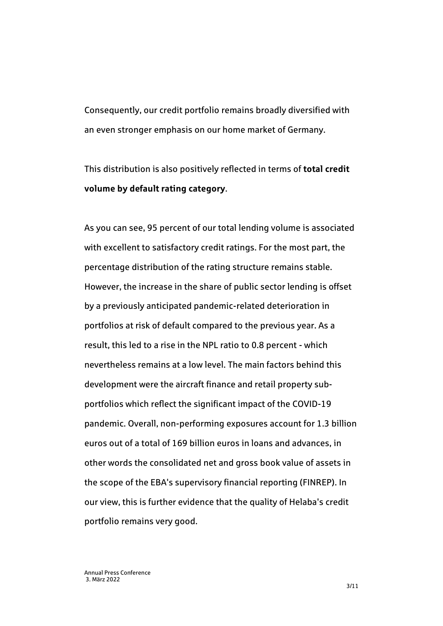Consequently, our credit portfolio remains broadly diversified with an even stronger emphasis on our home market of Germany.

This distribution is also positively reflected in terms of **total credit volume by default rating category**.

As you can see, 95 percent of our total lending volume is associated with excellent to satisfactory credit ratings. For the most part, the percentage distribution of the rating structure remains stable. However, the increase in the share of public sector lending is offset by a previously anticipated pandemic-related deterioration in portfolios at risk of default compared to the previous year. As a result, this led to a rise in the NPL ratio to 0.8 percent - which nevertheless remains at a low level. The main factors behind this development were the aircraft finance and retail property subportfolios which reflect the significant impact of the COVID-19 pandemic. Overall, non-performing exposures account for 1.3 billion euros out of a total of 169 billion euros in loans and advances, in other words the consolidated net and gross book value of assets in the scope of the EBA's supervisory financial reporting (FINREP). In our view, this is further evidence that the quality of Helaba's credit portfolio remains very good.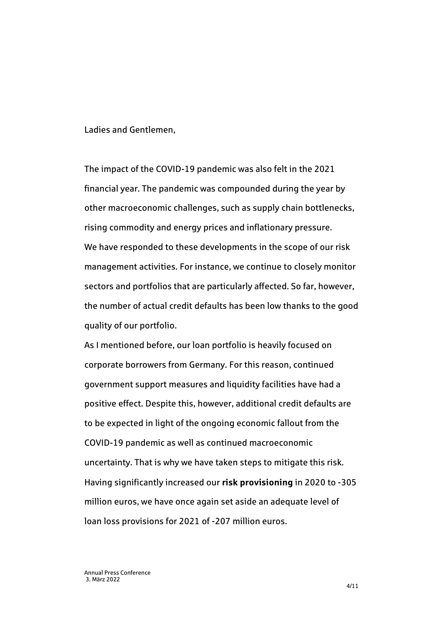Ladies and Gentlemen,

The impact of the COVID-19 pandemic was also felt in the 2021 financial year. The pandemic was compounded during the year by other macroeconomic challenges, such as supply chain bottlenecks, rising commodity and energy prices and inflationary pressure. We have responded to these developments in the scope of our risk management activities. For instance, we continue to closely monitor sectors and portfolios that are particularly affected. So far, however, the number of actual credit defaults has been low thanks to the good quality of our portfolio.

As I mentioned before, our loan portfolio is heavily focused on corporate borrowers from Germany. For this reason, continued government support measures and liquidity facilities have had a positive effect. Despite this, however, additional credit defaults are to be expected in light of the ongoing economic fallout from the COVID-19 pandemic as well as continued macroeconomic uncertainty. That is why we have taken steps to mitigate this risk. Having significantly increased our **risk provisioning** in 2020 to -305 million euros, we have once again set aside an adequate level of loan loss provisions for 2021 of -207 million euros.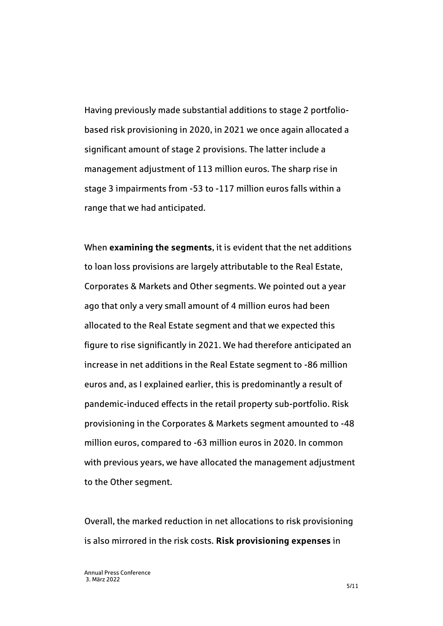Having previously made substantial additions to stage 2 portfoliobased risk provisioning in 2020, in 2021 we once again allocated a significant amount of stage 2 provisions. The latter include a management adjustment of 113 million euros. The sharp rise in stage 3 impairments from -53 to -117 million euros falls within a range that we had anticipated.

When **examining the segments**, it is evident that the net additions to loan loss provisions are largely attributable to the Real Estate, Corporates & Markets and Other segments. We pointed out a year ago that only a very small amount of 4 million euros had been allocated to the Real Estate segment and that we expected this figure to rise significantly in 2021. We had therefore anticipated an increase in net additions in the Real Estate segment to -86 million euros and, as I explained earlier, this is predominantly a result of pandemic-induced effects in the retail property sub-portfolio. Risk provisioning in the Corporates & Markets segment amounted to -48 million euros, compared to -63 million euros in 2020. In common with previous years, we have allocated the management adjustment to the Other segment.

Overall, the marked reduction in net allocations to risk provisioning is also mirrored in the risk costs. **Risk provisioning expenses** in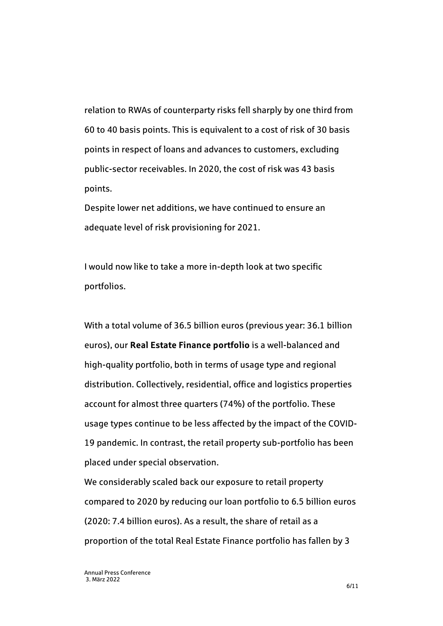relation to RWAs of counterparty risks fell sharply by one third from 60 to 40 basis points. This is equivalent to a cost of risk of 30 basis points in respect of loans and advances to customers, excluding public-sector receivables. In 2020, the cost of risk was 43 basis points.

Despite lower net additions, we have continued to ensure an adequate level of risk provisioning for 2021.

I would now like to take a more in-depth look at two specific portfolios.

With a total volume of 36.5 billion euros (previous year: 36.1 billion euros), our **Real Estate Finance portfolio** is a well-balanced and high-quality portfolio, both in terms of usage type and regional distribution. Collectively, residential, office and logistics properties account for almost three quarters (74%) of the portfolio. These usage types continue to be less affected by the impact of the COVID-19 pandemic. In contrast, the retail property sub-portfolio has been placed under special observation.

We considerably scaled back our exposure to retail property compared to 2020 by reducing our loan portfolio to 6.5 billion euros (2020: 7.4 billion euros). As a result, the share of retail as a proportion of the total Real Estate Finance portfolio has fallen by 3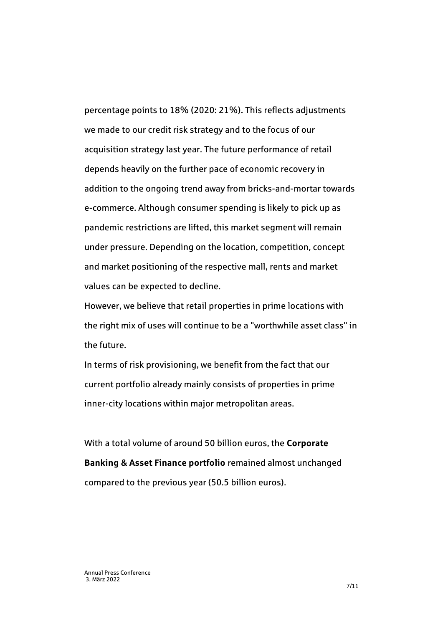percentage points to 18% (2020: 21%). This reflects adjustments we made to our credit risk strategy and to the focus of our acquisition strategy last year. The future performance of retail depends heavily on the further pace of economic recovery in addition to the ongoing trend away from bricks-and-mortar towards e-commerce. Although consumer spending is likely to pick up as pandemic restrictions are lifted, this market segment will remain under pressure. Depending on the location, competition, concept and market positioning of the respective mall, rents and market values can be expected to decline.

However, we believe that retail properties in prime locations with the right mix of uses will continue to be a "worthwhile asset class" in the future.

In terms of risk provisioning, we benefit from the fact that our current portfolio already mainly consists of properties in prime inner-city locations within major metropolitan areas.

With a total volume of around 50 billion euros, the **Corporate Banking & Asset Finance portfolio** remained almost unchanged compared to the previous year (50.5 billion euros).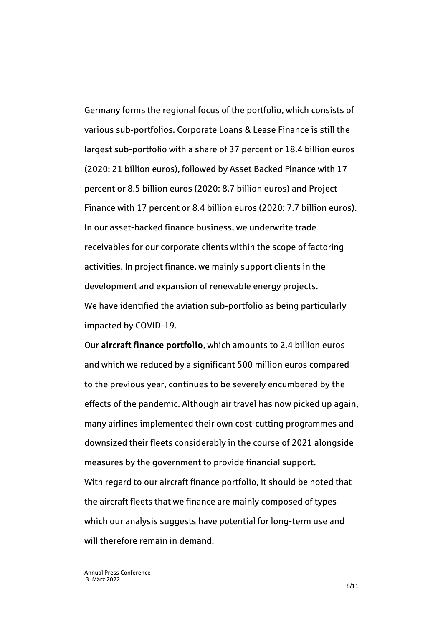Germany forms the regional focus of the portfolio, which consists of various sub-portfolios. Corporate Loans & Lease Finance is still the largest sub-portfolio with a share of 37 percent or 18.4 billion euros (2020: 21 billion euros), followed by Asset Backed Finance with 17 percent or 8.5 billion euros (2020: 8.7 billion euros) and Project Finance with 17 percent or 8.4 billion euros (2020: 7.7 billion euros). In our asset-backed finance business, we underwrite trade receivables for our corporate clients within the scope of factoring activities. In project finance, we mainly support clients in the development and expansion of renewable energy projects. We have identified the aviation sub-portfolio as being particularly impacted by COVID-19.

Our **aircraft finance portfolio**, which amounts to 2.4 billion euros and which we reduced by a significant 500 million euros compared to the previous year, continues to be severely encumbered by the effects of the pandemic. Although air travel has now picked up again, many airlines implemented their own cost-cutting programmes and downsized their fleets considerably in the course of 2021 alongside measures by the government to provide financial support. With regard to our aircraft finance portfolio, it should be noted that the aircraft fleets that we finance are mainly composed of types which our analysis suggests have potential for long-term use and will therefore remain in demand.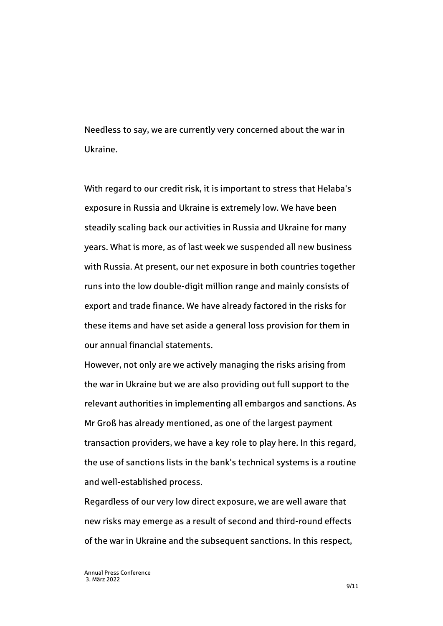Needless to say, we are currently very concerned about the war in Ukraine.

With regard to our credit risk, it is important to stress that Helaba's exposure in Russia and Ukraine is extremely low. We have been steadily scaling back our activities in Russia and Ukraine for many years. What is more, as of last week we suspended all new business with Russia. At present, our net exposure in both countries together runs into the low double-digit million range and mainly consists of export and trade finance. We have already factored in the risks for these items and have set aside a general loss provision for them in our annual financial statements.

However, not only are we actively managing the risks arising from the war in Ukraine but we are also providing out full support to the relevant authorities in implementing all embargos and sanctions. As Mr Groß has already mentioned, as one of the largest payment transaction providers, we have a key role to play here. In this regard, the use of sanctions lists in the bank's technical systems is a routine and well-established process.

Regardless of our very low direct exposure, we are well aware that new risks may emerge as a result of second and third-round effects of the war in Ukraine and the subsequent sanctions. In this respect,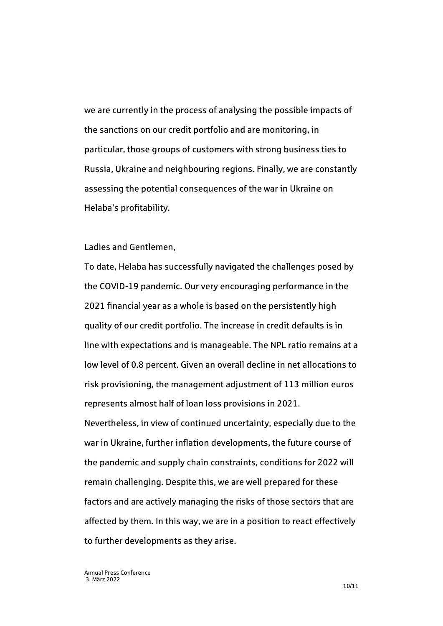we are currently in the process of analysing the possible impacts of the sanctions on our credit portfolio and are monitoring, in particular, those groups of customers with strong business ties to Russia, Ukraine and neighbouring regions. Finally, we are constantly assessing the potential consequences of the war in Ukraine on Helaba's profitability.

## Ladies and Gentlemen,

To date, Helaba has successfully navigated the challenges posed by the COVID-19 pandemic. Our very encouraging performance in the 2021 financial year as a whole is based on the persistently high quality of our credit portfolio. The increase in credit defaults is in line with expectations and is manageable. The NPL ratio remains at a low level of 0.8 percent. Given an overall decline in net allocations to risk provisioning, the management adjustment of 113 million euros represents almost half of loan loss provisions in 2021. Nevertheless, in view of continued uncertainty, especially due to the war in Ukraine, further inflation developments, the future course of the pandemic and supply chain constraints, conditions for 2022 will remain challenging. Despite this, we are well prepared for these factors and are actively managing the risks of those sectors that are affected by them. In this way, we are in a position to react effectively

to further developments as they arise.